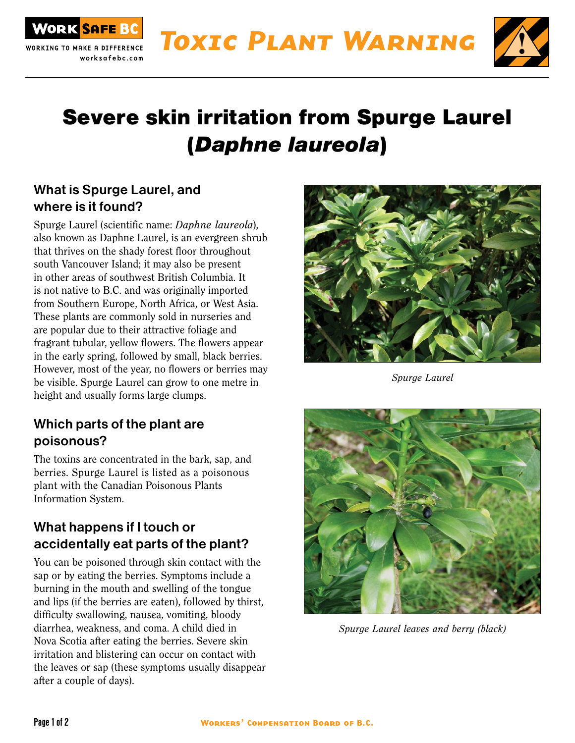



# Severe skin irritation from Spurge Laurel (Daphne laureola)

#### What is Spurge Laurel, and where is it found?

ORK SAFE BC

Spurge Laurel (scientific name: Daphne laureola), also known as Daphne Laurel, is an evergreen shrub that thrives on the shady forest floor throughout south Vancouver Island; it may also be present in other areas of southwest British Columbia. It is not native to B.C. and was originally imported from Southern Europe, North Africa, or West Asia. These plants are commonly sold in nurseries and are popular due to their attractive foliage and fragrant tubular, yellow flowers. The flowers appear in the early spring, followed by small, black berries. However, most of the year, no flowers or berries may be visible. Spurge Laurel can grow to one metre in height and usually forms large clumps.

### Which parts of the plant are poisonous?

The toxins are concentrated in the bark, sap, and berries. Spurge Laurel is listed as a poisonous plant with the Canadian Poisonous Plants Information System.

### What happens if I touch or accidentally eat parts of the plant?

You can be poisoned through skin contact with the sap or by eating the berries. Symptoms include a burning in the mouth and swelling of the tongue and lips (if the berries are eaten), followed by thirst, difficulty swallowing, nausea, vomiting, bloody diarrhea, weakness, and coma. A child died in Nova Scotia after eating the berries. Severe skin irritation and blistering can occur on contact with the leaves or sap (these symptoms usually disappear after a couple of days).



Spurge Laurel



Spurge Laurel leaves and berry (black)